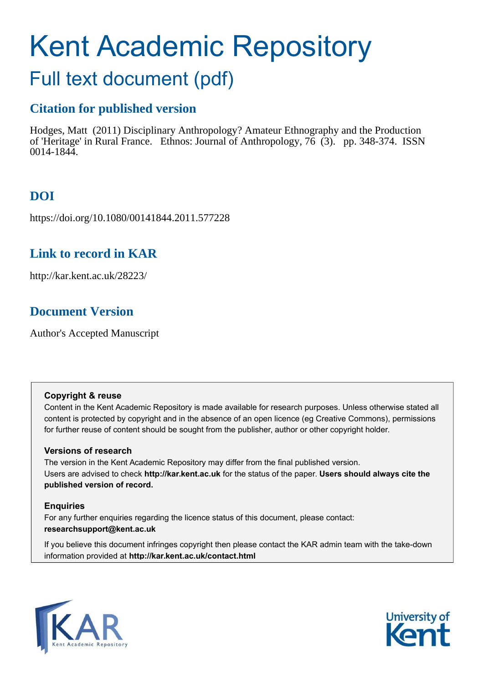# Kent Academic Repository

## Full text document (pdf)

## **Citation for published version**

Hodges, Matt (2011) Disciplinary Anthropology? Amateur Ethnography and the Production of 'Heritage' in Rural France. Ethnos: Journal of Anthropology, 76 (3). pp. 348-374. ISSN 0014-1844.

## **DOI**

https://doi.org/10.1080/00141844.2011.577228

## **Link to record in KAR**

http://kar.kent.ac.uk/28223/

## **Document Version**

Author's Accepted Manuscript

#### **Copyright & reuse**

Content in the Kent Academic Repository is made available for research purposes. Unless otherwise stated all content is protected by copyright and in the absence of an open licence (eg Creative Commons), permissions for further reuse of content should be sought from the publisher, author or other copyright holder.

#### **Versions of research**

The version in the Kent Academic Repository may differ from the final published version. Users are advised to check **http://kar.kent.ac.uk** for the status of the paper. **Users should always cite the published version of record.**

#### **Enquiries**

For any further enquiries regarding the licence status of this document, please contact: **researchsupport@kent.ac.uk**

If you believe this document infringes copyright then please contact the KAR admin team with the take-down information provided at **http://kar.kent.ac.uk/contact.html**



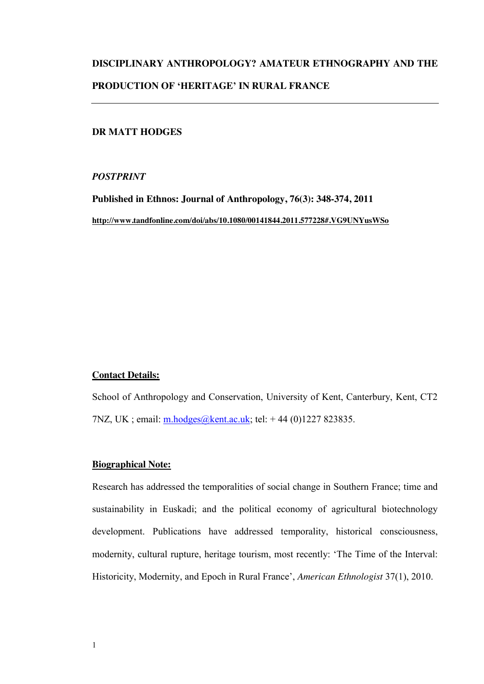## **DISCIPLINARY ANTHROPOLOGY? AMATEUR ETHNOGRAPHY AND THE PRODUCTION OF 'HERITAGE' IN RURAL FRANCE**

#### **DR MATT HODGES**

#### *POSTPRINT*

**Published in Ethnos: Journal of Anthropology, 76(3): 348-374, 2011 http://www.tandfonline.com/doi/abs/10.1080/00141844.2011.577228#.VG9UNYusWSo**

#### **Contact Details:**

School of Anthropology and Conservation, University of Kent, Canterbury, Kent, CT2 7NZ, UK; email: [m.hodges@kent.ac.uk;](mailto:m.hodges@kent.ac.uk) tel: +44 (0)1227 823835.

#### **Biographical Note:**

Research has addressed the temporalities of social change in Southern France; time and sustainability in Euskadi; and the political economy of agricultural biotechnology development. Publications have addressed temporality, historical consciousness, modernity, cultural rupture, heritage tourism, most recently: 'The Time of the Interval: Historicity, Modernity, and Epoch in Rural France', *American Ethnologist* 37(1), 2010.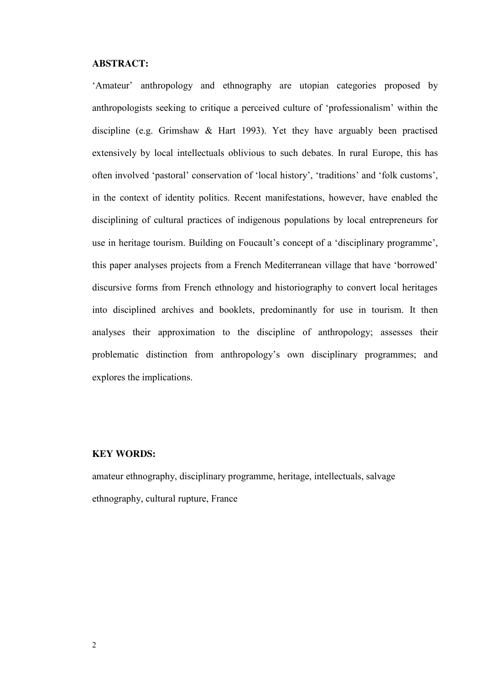#### **ABSTRACT:**

'Amateur' anthropology and ethnography are utopian categories proposed by anthropologists seeking to critique a perceived culture of 'professionalism' within the discipline (e.g. Grimshaw & Hart 1993). Yet they have arguably been practised extensively by local intellectuals oblivious to such debates. In rural Europe, this has often involved 'pastoral' conservation of 'local history', 'traditions' and 'folk customs', in the context of identity politics. Recent manifestations, however, have enabled the disciplining of cultural practices of indigenous populations by local entrepreneurs for use in heritage tourism. Building on Foucault's concept of a 'disciplinary programme', this paper analyses projects from a French Mediterranean village that have 'borrowed' discursive forms from French ethnology and historiography to convert local heritages into disciplined archives and booklets, predominantly for use in tourism. It then analyses their approximation to the discipline of anthropology; assesses their problematic distinction from anthropology's own disciplinary programmes; and explores the implications.

#### **KEY WORDS:**

amateur ethnography, disciplinary programme, heritage, intellectuals, salvage ethnography, cultural rupture, France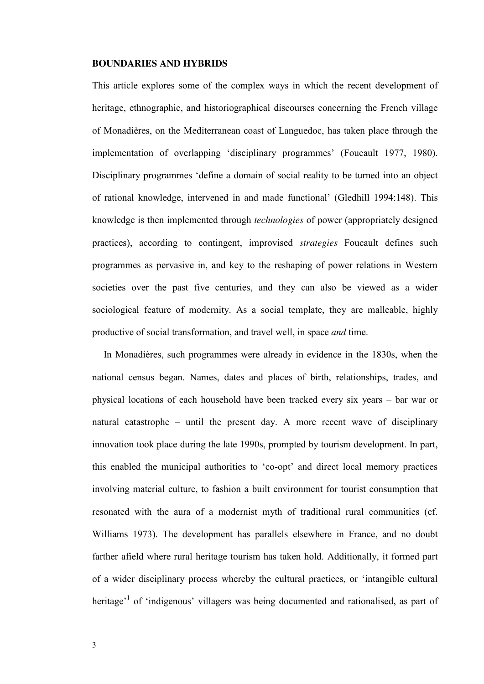#### **BOUNDARIES AND HYBRIDS**

This article explores some of the complex ways in which the recent development of heritage, ethnographic, and historiographical discourses concerning the French village of Monadières, on the Mediterranean coast of Languedoc, has taken place through the implementation of overlapping 'disciplinary programmes' (Foucault 1977, 1980). Disciplinary programmes 'define a domain of social reality to be turned into an object of rational knowledge, intervened in and made functional' (Gledhill 1994:148). This knowledge is then implemented through *technologies* of power (appropriately designed practices), according to contingent, improvised *strategies* Foucault defines such programmes as pervasive in, and key to the reshaping of power relations in Western societies over the past five centuries, and they can also be viewed as a wider sociological feature of modernity. As a social template, they are malleable, highly productive of social transformation, and travel well, in space *and* time.

 In Monadières, such programmes were already in evidence in the 1830s, when the national census began. Names, dates and places of birth, relationships, trades, and physical locations of each household have been tracked every six years – bar war or natural catastrophe – until the present day. A more recent wave of disciplinary innovation took place during the late 1990s, prompted by tourism development. In part, this enabled the municipal authorities to 'co-opt' and direct local memory practices involving material culture, to fashion a built environment for tourist consumption that resonated with the aura of a modernist myth of traditional rural communities (cf. Williams 1973). The development has parallels elsewhere in France, and no doubt farther afield where rural heritage tourism has taken hold. Additionally, it formed part of a wider disciplinary process whereby the cultural practices, or 'intangible cultural heritage<sup>'1</sup> of 'indigenous' villagers was being documented and rationalised, as part of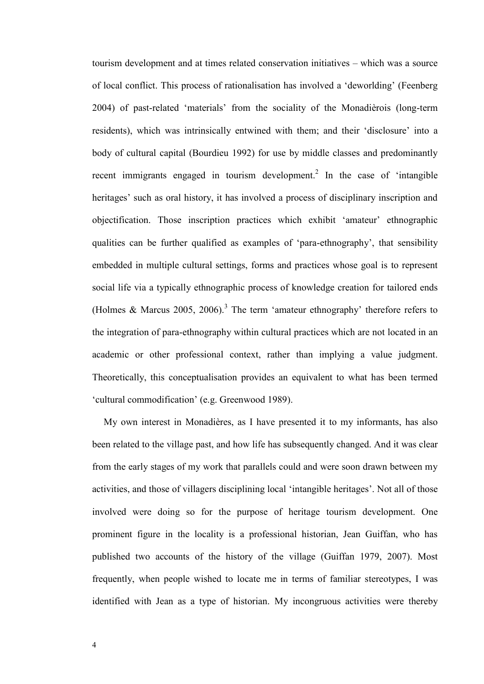tourism development and at times related conservation initiatives – which was a source of local conflict. This process of rationalisation has involved a 'deworlding' (Feenberg 2004) of past-related 'materials' from the sociality of the Monadièrois (long-term residents), which was intrinsically entwined with them; and their 'disclosure' into a body of cultural capital (Bourdieu 1992) for use by middle classes and predominantly recent immigrants engaged in tourism development.<sup>2</sup> In the case of 'intangible heritages' such as oral history, it has involved a process of disciplinary inscription and objectification. Those inscription practices which exhibit 'amateur' ethnographic qualities can be further qualified as examples of 'para-ethnography', that sensibility embedded in multiple cultural settings, forms and practices whose goal is to represent social life via a typically ethnographic process of knowledge creation for tailored ends (Holmes & Marcus 2005, 2006).<sup>3</sup> The term 'amateur ethnography' therefore refers to the integration of para-ethnography within cultural practices which are not located in an academic or other professional context, rather than implying a value judgment. Theoretically, this conceptualisation provides an equivalent to what has been termed 'cultural commodification' (e.g. Greenwood 1989).

 My own interest in Monadières, as I have presented it to my informants, has also been related to the village past, and how life has subsequently changed. And it was clear from the early stages of my work that parallels could and were soon drawn between my activities, and those of villagers disciplining local 'intangible heritages'. Not all of those involved were doing so for the purpose of heritage tourism development. One prominent figure in the locality is a professional historian, Jean Guiffan, who has published two accounts of the history of the village (Guiffan 1979, 2007). Most frequently, when people wished to locate me in terms of familiar stereotypes, I was identified with Jean as a type of historian. My incongruous activities were thereby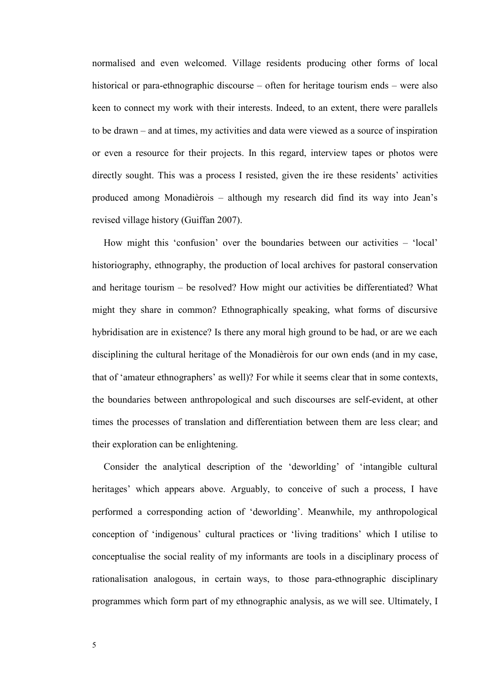normalised and even welcomed. Village residents producing other forms of local historical or para-ethnographic discourse – often for heritage tourism ends – were also keen to connect my work with their interests. Indeed, to an extent, there were parallels to be drawn – and at times, my activities and data were viewed as a source of inspiration or even a resource for their projects. In this regard, interview tapes or photos were directly sought. This was a process I resisted, given the ire these residents' activities produced among Monadièrois – although my research did find its way into Jean's revised village history (Guiffan 2007).

How might this 'confusion' over the boundaries between our activities – 'local' historiography, ethnography, the production of local archives for pastoral conservation and heritage tourism – be resolved? How might our activities be differentiated? What might they share in common? Ethnographically speaking, what forms of discursive hybridisation are in existence? Is there any moral high ground to be had, or are we each disciplining the cultural heritage of the Monadièrois for our own ends (and in my case, that of 'amateur ethnographers' as well)? For while it seems clear that in some contexts, the boundaries between anthropological and such discourses are self-evident, at other times the processes of translation and differentiation between them are less clear; and their exploration can be enlightening.

 Consider the analytical description of the 'deworlding' of 'intangible cultural heritages' which appears above. Arguably, to conceive of such a process, I have performed a corresponding action of 'deworlding'. Meanwhile, my anthropological conception of 'indigenous' cultural practices or 'living traditions' which I utilise to conceptualise the social reality of my informants are tools in a disciplinary process of rationalisation analogous, in certain ways, to those para-ethnographic disciplinary programmes which form part of my ethnographic analysis, as we will see. Ultimately, I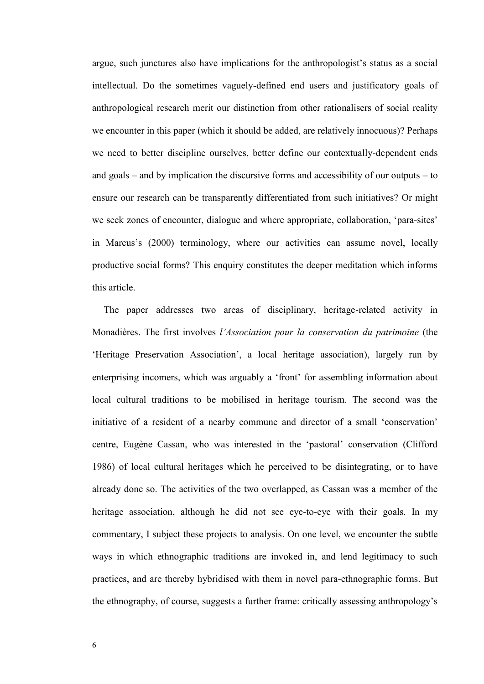argue, such junctures also have implications for the anthropologist's status as a social intellectual. Do the sometimes vaguely-defined end users and justificatory goals of anthropological research merit our distinction from other rationalisers of social reality we encounter in this paper (which it should be added, are relatively innocuous)? Perhaps we need to better discipline ourselves, better define our contextually-dependent ends and goals – and by implication the discursive forms and accessibility of our outputs – to ensure our research can be transparently differentiated from such initiatives? Or might we seek zones of encounter, dialogue and where appropriate, collaboration, 'para-sites' in Marcus's (2000) terminology, where our activities can assume novel, locally productive social forms? This enquiry constitutes the deeper meditation which informs this article.

 The paper addresses two areas of disciplinary, heritage-related activity in Monadières. The first involves *l'Association pour la conservation du patrimoine* (the 'Heritage Preservation Association', a local heritage association), largely run by enterprising incomers, which was arguably a 'front' for assembling information about local cultural traditions to be mobilised in heritage tourism. The second was the initiative of a resident of a nearby commune and director of a small 'conservation' centre, Eugène Cassan, who was interested in the 'pastoral' conservation (Clifford 1986) of local cultural heritages which he perceived to be disintegrating, or to have already done so. The activities of the two overlapped, as Cassan was a member of the heritage association, although he did not see eye-to-eye with their goals. In my commentary, I subject these projects to analysis. On one level, we encounter the subtle ways in which ethnographic traditions are invoked in, and lend legitimacy to such practices, and are thereby hybridised with them in novel para-ethnographic forms. But the ethnography, of course, suggests a further frame: critically assessing anthropology's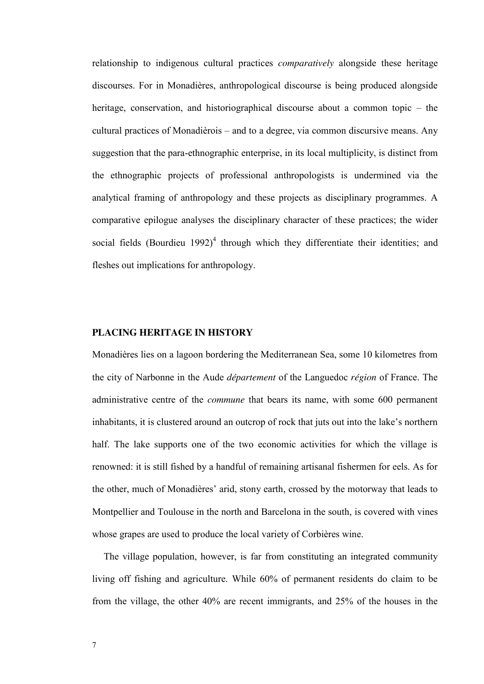relationship to indigenous cultural practices *comparatively* alongside these heritage discourses. For in Monadières, anthropological discourse is being produced alongside heritage, conservation, and historiographical discourse about a common topic – the cultural practices of Monadièrois – and to a degree, via common discursive means. Any suggestion that the para-ethnographic enterprise, in its local multiplicity, is distinct from the ethnographic projects of professional anthropologists is undermined via the analytical framing of anthropology and these projects as disciplinary programmes. A comparative epilogue analyses the disciplinary character of these practices; the wider social fields (Bourdieu 1992)<sup>4</sup> through which they differentiate their identities; and fleshes out implications for anthropology.

#### **PLACING HERITAGE IN HISTORY**

Monadières lies on a lagoon bordering the Mediterranean Sea, some 10 kilometres from the city of Narbonne in the Aude *département* of the Languedoc *région* of France. The administrative centre of the *commune* that bears its name, with some 600 permanent inhabitants, it is clustered around an outcrop of rock that juts out into the lake's northern half. The lake supports one of the two economic activities for which the village is renowned: it is still fished by a handful of remaining artisanal fishermen for eels. As for the other, much of Monadières' arid, stony earth, crossed by the motorway that leads to Montpellier and Toulouse in the north and Barcelona in the south, is covered with vines whose grapes are used to produce the local variety of Corbières wine.

 The village population, however, is far from constituting an integrated community living off fishing and agriculture. While 60% of permanent residents do claim to be from the village, the other 40% are recent immigrants, and 25% of the houses in the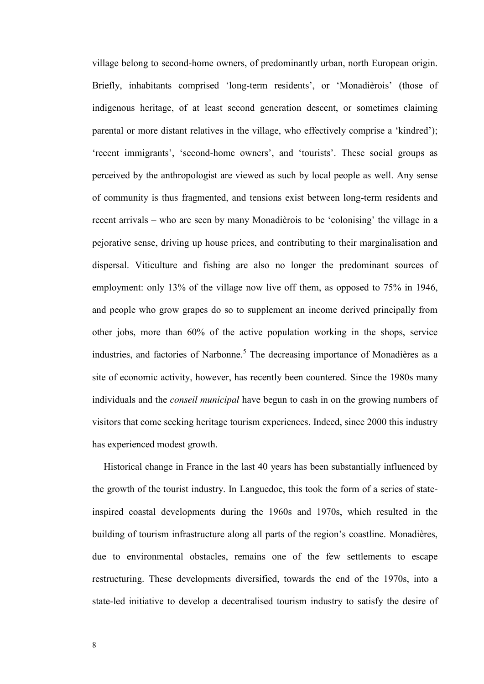village belong to second-home owners, of predominantly urban, north European origin. Briefly, inhabitants comprised 'long-term residents', or 'Monadièrois' (those of indigenous heritage, of at least second generation descent, or sometimes claiming parental or more distant relatives in the village, who effectively comprise a 'kindred'); 'recent immigrants', 'second-home owners', and 'tourists'. These social groups as perceived by the anthropologist are viewed as such by local people as well. Any sense of community is thus fragmented, and tensions exist between long-term residents and recent arrivals – who are seen by many Monadièrois to be 'colonising' the village in a pejorative sense, driving up house prices, and contributing to their marginalisation and dispersal. Viticulture and fishing are also no longer the predominant sources of employment: only 13% of the village now live off them, as opposed to 75% in 1946, and people who grow grapes do so to supplement an income derived principally from other jobs, more than 60% of the active population working in the shops, service industries, and factories of Narbonne.<sup>5</sup> The decreasing importance of Monadières as a site of economic activity, however, has recently been countered. Since the 1980s many individuals and the *conseil municipal* have begun to cash in on the growing numbers of visitors that come seeking heritage tourism experiences. Indeed, since 2000 this industry has experienced modest growth.

 Historical change in France in the last 40 years has been substantially influenced by the growth of the tourist industry. In Languedoc, this took the form of a series of stateinspired coastal developments during the 1960s and 1970s, which resulted in the building of tourism infrastructure along all parts of the region's coastline. Monadières, due to environmental obstacles, remains one of the few settlements to escape restructuring. These developments diversified, towards the end of the 1970s, into a state-led initiative to develop a decentralised tourism industry to satisfy the desire of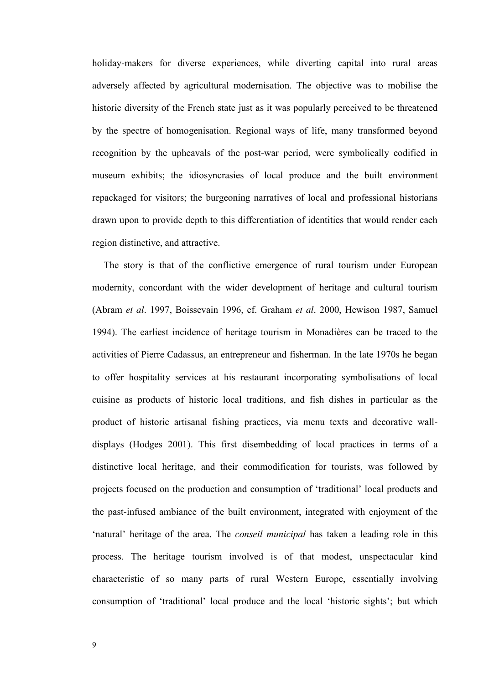holiday-makers for diverse experiences, while diverting capital into rural areas adversely affected by agricultural modernisation. The objective was to mobilise the historic diversity of the French state just as it was popularly perceived to be threatened by the spectre of homogenisation. Regional ways of life, many transformed beyond recognition by the upheavals of the post-war period, were symbolically codified in museum exhibits; the idiosyncrasies of local produce and the built environment repackaged for visitors; the burgeoning narratives of local and professional historians drawn upon to provide depth to this differentiation of identities that would render each region distinctive, and attractive.

 The story is that of the conflictive emergence of rural tourism under European modernity, concordant with the wider development of heritage and cultural tourism (Abram *et al*. 1997, Boissevain 1996, cf. Graham *et al*. 2000, Hewison 1987, Samuel 1994). The earliest incidence of heritage tourism in Monadières can be traced to the activities of Pierre Cadassus, an entrepreneur and fisherman. In the late 1970s he began to offer hospitality services at his restaurant incorporating symbolisations of local cuisine as products of historic local traditions, and fish dishes in particular as the product of historic artisanal fishing practices, via menu texts and decorative walldisplays (Hodges 2001). This first disembedding of local practices in terms of a distinctive local heritage, and their commodification for tourists, was followed by projects focused on the production and consumption of 'traditional' local products and the past-infused ambiance of the built environment, integrated with enjoyment of the 'natural' heritage of the area. The *conseil municipal* has taken a leading role in this process. The heritage tourism involved is of that modest, unspectacular kind characteristic of so many parts of rural Western Europe, essentially involving consumption of 'traditional' local produce and the local 'historic sights'; but which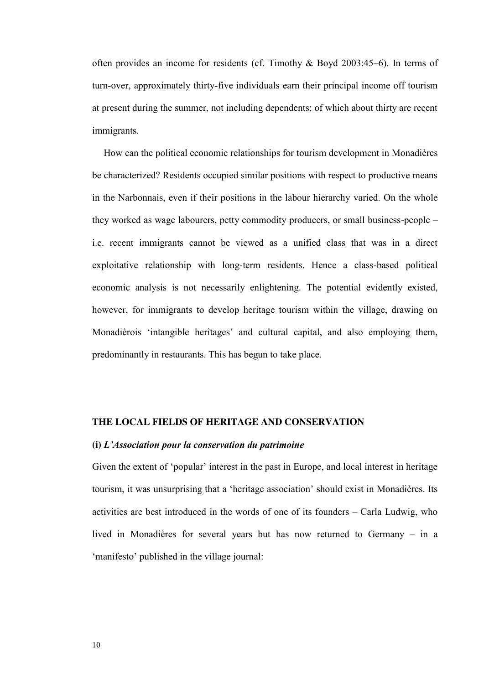often provides an income for residents (cf. Timothy & Boyd 2003:45–6). In terms of turn-over, approximately thirty-five individuals earn their principal income off tourism at present during the summer, not including dependents; of which about thirty are recent immigrants.

How can the political economic relationships for tourism development in Monadières be characterized? Residents occupied similar positions with respect to productive means in the Narbonnais, even if their positions in the labour hierarchy varied. On the whole they worked as wage labourers, petty commodity producers, or small business-people – i.e. recent immigrants cannot be viewed as a unified class that was in a direct exploitative relationship with long-term residents. Hence a class-based political economic analysis is not necessarily enlightening. The potential evidently existed, however, for immigrants to develop heritage tourism within the village, drawing on Monadièrois 'intangible heritages' and cultural capital, and also employing them, predominantly in restaurants. This has begun to take place.

#### **THE LOCAL FIELDS OF HERITAGE AND CONSERVATION**

#### **(i)** *L'Association pour la conservation du patrimoine*

Given the extent of 'popular' interest in the past in Europe, and local interest in heritage tourism, it was unsurprising that a 'heritage association' should exist in Monadières. Its activities are best introduced in the words of one of its founders – Carla Ludwig, who lived in Monadières for several years but has now returned to Germany – in a 'manifesto' published in the village journal: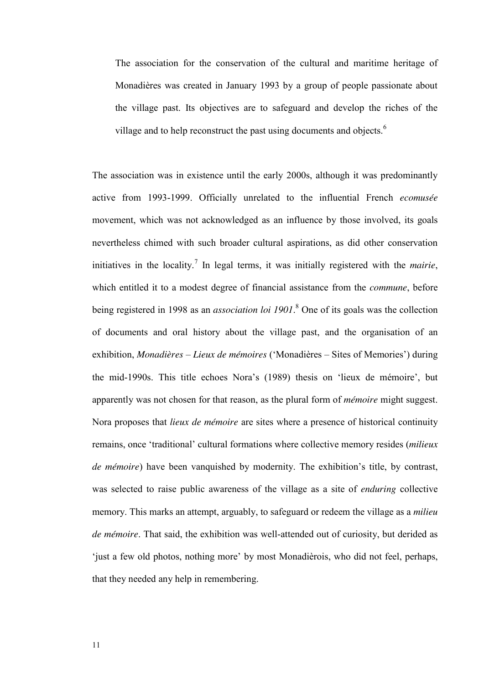The association for the conservation of the cultural and maritime heritage of Monadières was created in January 1993 by a group of people passionate about the village past. Its objectives are to safeguard and develop the riches of the village and to help reconstruct the past using documents and objects.<sup>6</sup>

The association was in existence until the early 2000s, although it was predominantly active from 1993-1999. Officially unrelated to the influential French *ecomusée* movement, which was not acknowledged as an influence by those involved, its goals nevertheless chimed with such broader cultural aspirations, as did other conservation initiatives in the locality.<sup>7</sup> In legal terms, it was initially registered with the *mairie*, which entitled it to a modest degree of financial assistance from the *commune*, before being registered in 1998 as an *association loi 1901*. 8 One of its goals was the collection of documents and oral history about the village past, and the organisation of an exhibition, *Monadières – Lieux de mémoires* ('Monadières – Sites of Memories') during the mid-1990s. This title echoes Nora's (1989) thesis on 'lieux de mémoire', but apparently was not chosen for that reason, as the plural form of *mémoire* might suggest. Nora proposes that *lieux de mémoire* are sites where a presence of historical continuity remains, once 'traditional' cultural formations where collective memory resides (*milieux de mémoire*) have been vanquished by modernity. The exhibition's title, by contrast, was selected to raise public awareness of the village as a site of *enduring* collective memory. This marks an attempt, arguably, to safeguard or redeem the village as a *milieu de mémoire*. That said, the exhibition was well-attended out of curiosity, but derided as 'just a few old photos, nothing more' by most Monadièrois, who did not feel, perhaps, that they needed any help in remembering.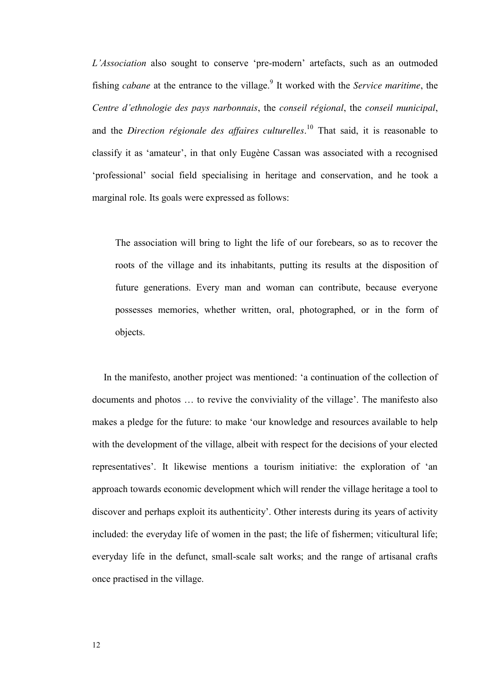*L'Association* also sought to conserve 'pre-modern' artefacts, such as an outmoded fishing *cabane* at the entrance to the village.<sup>9</sup> It worked with the *Service maritime*, the *Centre d'ethnologie des pays narbonnais*, the *conseil régional*, the *conseil municipal*, and the *Direction régionale des affaires culturelles*. <sup>10</sup> That said, it is reasonable to classify it as 'amateur', in that only Eugène Cassan was associated with a recognised 'professional' social field specialising in heritage and conservation, and he took a marginal role. Its goals were expressed as follows:

The association will bring to light the life of our forebears, so as to recover the roots of the village and its inhabitants, putting its results at the disposition of future generations. Every man and woman can contribute, because everyone possesses memories, whether written, oral, photographed, or in the form of objects.

In the manifesto, another project was mentioned: 'a continuation of the collection of documents and photos … to revive the conviviality of the village'. The manifesto also makes a pledge for the future: to make 'our knowledge and resources available to help with the development of the village, albeit with respect for the decisions of your elected representatives'. It likewise mentions a tourism initiative: the exploration of 'an approach towards economic development which will render the village heritage a tool to discover and perhaps exploit its authenticity'. Other interests during its years of activity included: the everyday life of women in the past; the life of fishermen; viticultural life; everyday life in the defunct, small-scale salt works; and the range of artisanal crafts once practised in the village.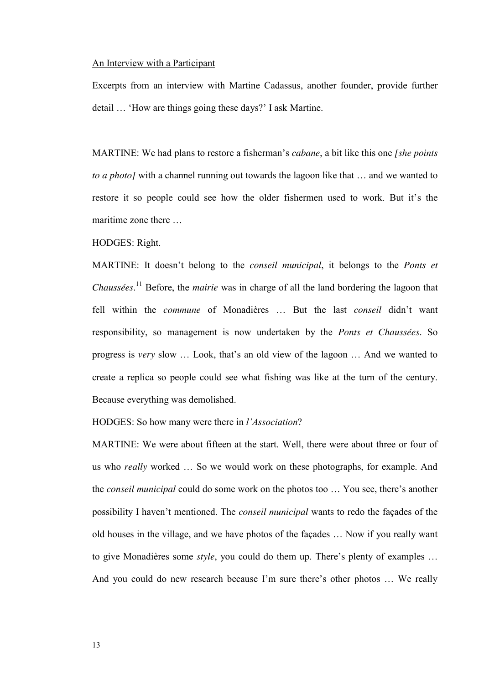#### An Interview with a Participant

Excerpts from an interview with Martine Cadassus, another founder, provide further detail … 'How are things going these days?' I ask Martine.

MARTINE: We had plans to restore a fisherman's *cabane*, a bit like this one *[she points to a photo]* with a channel running out towards the lagoon like that … and we wanted to restore it so people could see how the older fishermen used to work. But it's the maritime zone there …

HODGES: Right.

MARTINE: It doesn't belong to the *conseil municipal*, it belongs to the *Ponts et Chaussées*. <sup>11</sup> Before, the *mairie* was in charge of all the land bordering the lagoon that fell within the *commune* of Monadières … But the last *conseil* didn't want responsibility, so management is now undertaken by the *Ponts et Chaussées*. So progress is *very* slow … Look, that's an old view of the lagoon … And we wanted to create a replica so people could see what fishing was like at the turn of the century. Because everything was demolished.

HODGES: So how many were there in *l'Association*?

MARTINE: We were about fifteen at the start. Well, there were about three or four of us who *really* worked … So we would work on these photographs, for example. And the *conseil municipal* could do some work on the photos too … You see, there's another possibility I haven't mentioned. The *conseil municipal* wants to redo the façades of the old houses in the village, and we have photos of the façades … Now if you really want to give Monadières some *style*, you could do them up. There's plenty of examples … And you could do new research because I'm sure there's other photos ... We really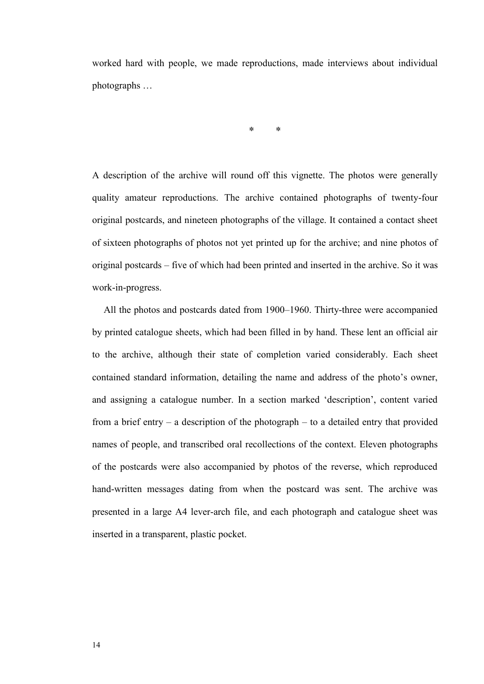worked hard with people, we made reproductions, made interviews about individual photographs …

**\* \*** 

A description of the archive will round off this vignette. The photos were generally quality amateur reproductions. The archive contained photographs of twenty-four original postcards, and nineteen photographs of the village. It contained a contact sheet of sixteen photographs of photos not yet printed up for the archive; and nine photos of original postcards – five of which had been printed and inserted in the archive. So it was work-in-progress.

 All the photos and postcards dated from 1900–1960. Thirty-three were accompanied by printed catalogue sheets, which had been filled in by hand. These lent an official air to the archive, although their state of completion varied considerably. Each sheet contained standard information, detailing the name and address of the photo's owner, and assigning a catalogue number. In a section marked 'description', content varied from a brief entry – a description of the photograph – to a detailed entry that provided names of people, and transcribed oral recollections of the context. Eleven photographs of the postcards were also accompanied by photos of the reverse, which reproduced hand-written messages dating from when the postcard was sent. The archive was presented in a large A4 lever-arch file, and each photograph and catalogue sheet was inserted in a transparent, plastic pocket.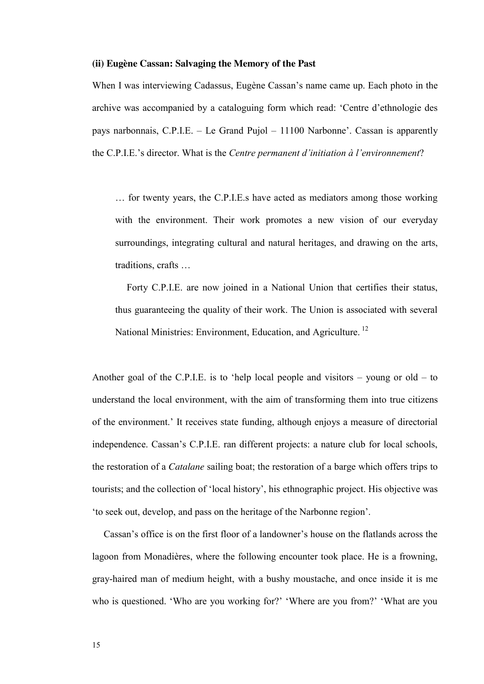#### **(ii) Eugène Cassan: Salvaging the Memory of the Past**

When I was interviewing Cadassus, Eugène Cassan's name came up. Each photo in the archive was accompanied by a cataloguing form which read: 'Centre d'ethnologie des pays narbonnais, C.P.I.E. – Le Grand Pujol – 11100 Narbonne'. Cassan is apparently the C.P.I.E.'s director. What is the *Centre permanent d'initiation à l'environnement*?

… for twenty years, the C.P.I.E.s have acted as mediators among those working with the environment. Their work promotes a new vision of our everyday surroundings, integrating cultural and natural heritages, and drawing on the arts, traditions, crafts …

 Forty C.P.I.E. are now joined in a National Union that certifies their status, thus guaranteeing the quality of their work. The Union is associated with several National Ministries: Environment, Education, and Agriculture. <sup>12</sup>

Another goal of the C.P.I.E. is to 'help local people and visitors  $-$  young or old  $-$  to understand the local environment, with the aim of transforming them into true citizens of the environment.' It receives state funding, although enjoys a measure of directorial independence. Cassan's C.P.I.E. ran different projects: a nature club for local schools, the restoration of a *Catalane* sailing boat; the restoration of a barge which offers trips to tourists; and the collection of 'local history', his ethnographic project. His objective was 'to seek out, develop, and pass on the heritage of the Narbonne region'.

Cassan's office is on the first floor of a landowner's house on the flatlands across the lagoon from Monadières, where the following encounter took place. He is a frowning, gray-haired man of medium height, with a bushy moustache, and once inside it is me who is questioned. 'Who are you working for?' 'Where are you from?' 'What are you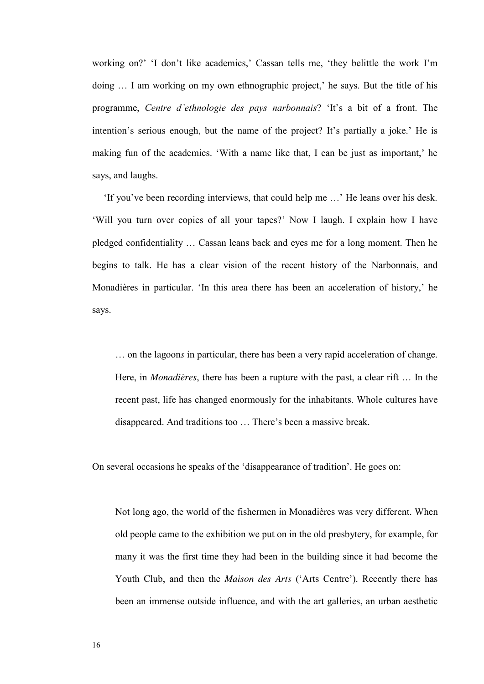working on?' 'I don't like academics,' Cassan tells me, 'they belittle the work I'm doing ... I am working on my own ethnographic project,' he says. But the title of his programme, *Centre d'ethnologie des pays narbonnais*? 'It's a bit of a front. The intention's serious enough, but the name of the project? It's partially a joke.' He is making fun of the academics. 'With a name like that, I can be just as important,' he says, and laughs.

'If you've been recording interviews, that could help me …' He leans over his desk. 'Will you turn over copies of all your tapes?' Now I laugh. I explain how I have pledged confidentiality … Cassan leans back and eyes me for a long moment. Then he begins to talk. He has a clear vision of the recent history of the Narbonnais, and Monadières in particular. 'In this area there has been an acceleration of history,' he says.

… on the lagoon*s* in particular, there has been a very rapid acceleration of change. Here, in *Monadières*, there has been a rupture with the past, a clear rift … In the recent past, life has changed enormously for the inhabitants. Whole cultures have disappeared. And traditions too … There's been a massive break.

On several occasions he speaks of the 'disappearance of tradition'. He goes on:

Not long ago, the world of the fishermen in Monadières was very different. When old people came to the exhibition we put on in the old presbytery, for example, for many it was the first time they had been in the building since it had become the Youth Club, and then the *Maison des Arts* ('Arts Centre'). Recently there has been an immense outside influence, and with the art galleries, an urban aesthetic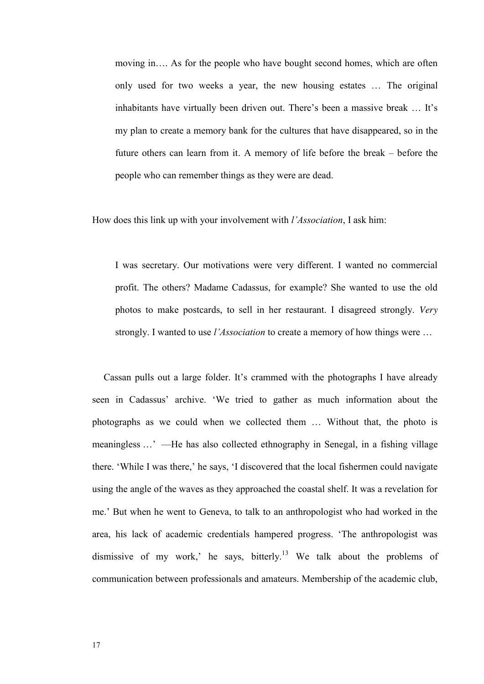moving in…. As for the people who have bought second homes, which are often only used for two weeks a year, the new housing estates … The original inhabitants have virtually been driven out. There's been a massive break … It's my plan to create a memory bank for the cultures that have disappeared, so in the future others can learn from it. A memory of life before the break – before the people who can remember things as they were are dead.

How does this link up with your involvement with *l'Association*, I ask him:

I was secretary. Our motivations were very different. I wanted no commercial profit. The others? Madame Cadassus, for example? She wanted to use the old photos to make postcards, to sell in her restaurant. I disagreed strongly. *Very* strongly. I wanted to use *l'Association* to create a memory of how things were …

Cassan pulls out a large folder. It's crammed with the photographs I have already seen in Cadassus' archive. 'We tried to gather as much information about the photographs as we could when we collected them … Without that, the photo is meaningless …' —He has also collected ethnography in Senegal, in a fishing village there. 'While I was there,' he says, 'I discovered that the local fishermen could navigate using the angle of the waves as they approached the coastal shelf. It was a revelation for me.' But when he went to Geneva, to talk to an anthropologist who had worked in the area, his lack of academic credentials hampered progress. 'The anthropologist was dismissive of my work,' he says, bitterly.<sup>13</sup> We talk about the problems of communication between professionals and amateurs. Membership of the academic club,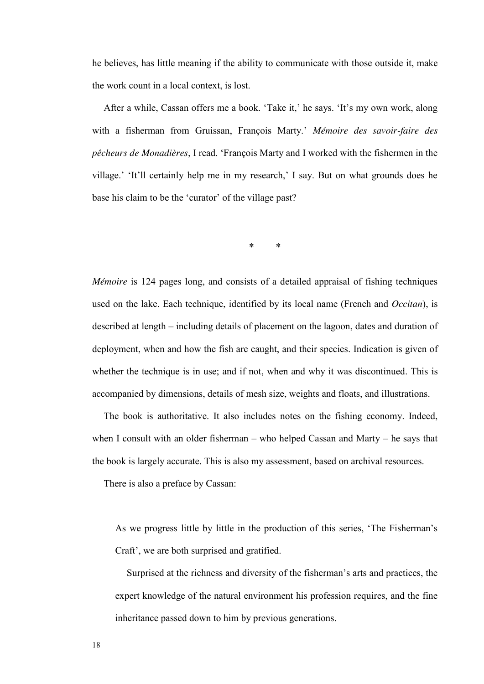he believes, has little meaning if the ability to communicate with those outside it, make the work count in a local context, is lost.

After a while, Cassan offers me a book. 'Take it,' he says. 'It's my own work, along with a fisherman from Gruissan, François Marty.' *Mémoire des savoir-faire des pêcheurs de Monadières*, I read. 'François Marty and I worked with the fishermen in the village.' 'It'll certainly help me in my research,' I say. But on what grounds does he base his claim to be the 'curator' of the village past?

**\* \*** 

*Mémoire* is 124 pages long, and consists of a detailed appraisal of fishing techniques used on the lake. Each technique, identified by its local name (French and *Occitan*), is described at length – including details of placement on the lagoon, dates and duration of deployment, when and how the fish are caught, and their species. Indication is given of whether the technique is in use; and if not, when and why it was discontinued. This is accompanied by dimensions, details of mesh size, weights and floats, and illustrations.

 The book is authoritative. It also includes notes on the fishing economy. Indeed, when I consult with an older fisherman – who helped Cassan and Marty – he says that the book is largely accurate. This is also my assessment, based on archival resources.

There is also a preface by Cassan:

As we progress little by little in the production of this series, 'The Fisherman's Craft', we are both surprised and gratified.

Surprised at the richness and diversity of the fisherman's arts and practices, the expert knowledge of the natural environment his profession requires, and the fine inheritance passed down to him by previous generations.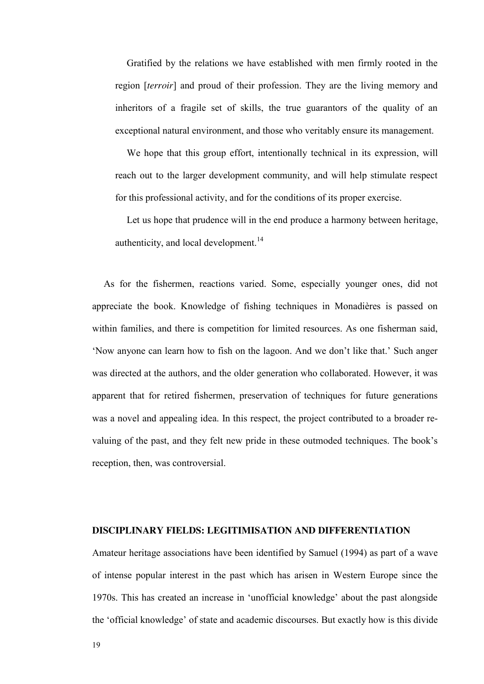Gratified by the relations we have established with men firmly rooted in the region [*terroir*] and proud of their profession. They are the living memory and inheritors of a fragile set of skills, the true guarantors of the quality of an exceptional natural environment, and those who veritably ensure its management.

 We hope that this group effort, intentionally technical in its expression, will reach out to the larger development community, and will help stimulate respect for this professional activity, and for the conditions of its proper exercise.

 Let us hope that prudence will in the end produce a harmony between heritage, authenticity, and local development.<sup>14</sup>

As for the fishermen, reactions varied. Some, especially younger ones, did not appreciate the book. Knowledge of fishing techniques in Monadières is passed on within families, and there is competition for limited resources. As one fisherman said, 'Now anyone can learn how to fish on the lagoon. And we don't like that.' Such anger was directed at the authors, and the older generation who collaborated. However, it was apparent that for retired fishermen, preservation of techniques for future generations was a novel and appealing idea. In this respect, the project contributed to a broader revaluing of the past, and they felt new pride in these outmoded techniques. The book's reception, then, was controversial.

#### **DISCIPLINARY FIELDS: LEGITIMISATION AND DIFFERENTIATION**

Amateur heritage associations have been identified by Samuel (1994) as part of a wave of intense popular interest in the past which has arisen in Western Europe since the 1970s. This has created an increase in 'unofficial knowledge' about the past alongside the 'official knowledge' of state and academic discourses. But exactly how is this divide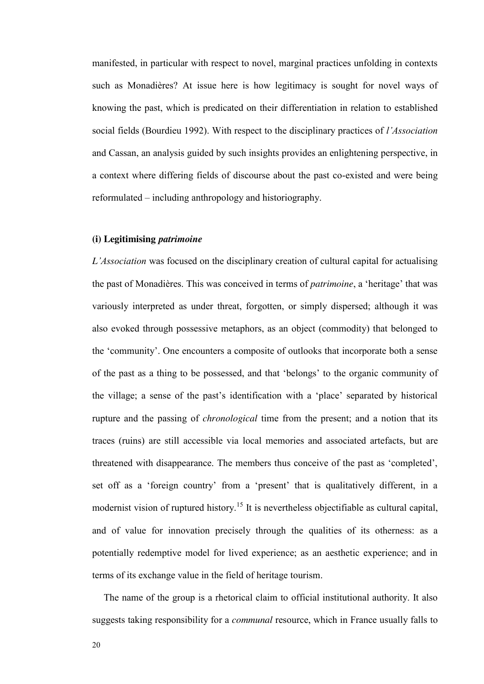manifested, in particular with respect to novel, marginal practices unfolding in contexts such as Monadières? At issue here is how legitimacy is sought for novel ways of knowing the past, which is predicated on their differentiation in relation to established social fields (Bourdieu 1992). With respect to the disciplinary practices of *l'Association* and Cassan, an analysis guided by such insights provides an enlightening perspective, in a context where differing fields of discourse about the past co-existed and were being reformulated – including anthropology and historiography.

#### **(i) Legitimising** *patrimoine*

*L'Association* was focused on the disciplinary creation of cultural capital for actualising the past of Monadières. This was conceived in terms of *patrimoine*, a 'heritage' that was variously interpreted as under threat, forgotten, or simply dispersed; although it was also evoked through possessive metaphors, as an object (commodity) that belonged to the 'community'. One encounters a composite of outlooks that incorporate both a sense of the past as a thing to be possessed, and that 'belongs' to the organic community of the village; a sense of the past's identification with a 'place' separated by historical rupture and the passing of *chronological* time from the present; and a notion that its traces (ruins) are still accessible via local memories and associated artefacts, but are threatened with disappearance. The members thus conceive of the past as 'completed', set off as a 'foreign country' from a 'present' that is qualitatively different, in a modernist vision of ruptured history.<sup>15</sup> It is nevertheless objectifiable as cultural capital, and of value for innovation precisely through the qualities of its otherness: as a potentially redemptive model for lived experience; as an aesthetic experience; and in terms of its exchange value in the field of heritage tourism.

 The name of the group is a rhetorical claim to official institutional authority. It also suggests taking responsibility for a *communal* resource, which in France usually falls to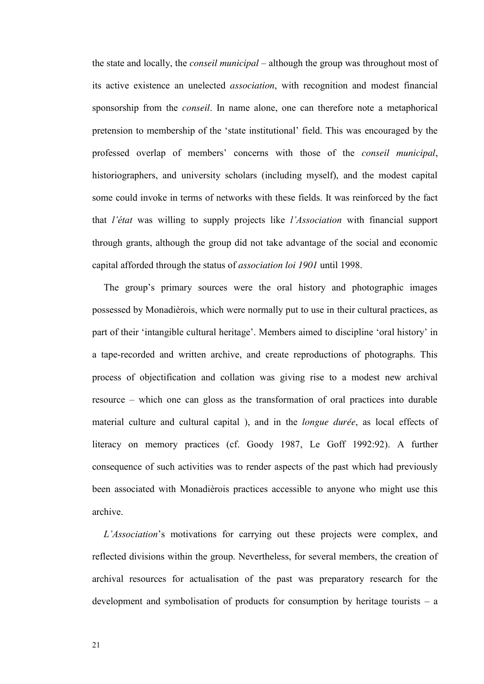the state and locally, the *conseil municipal* – although the group was throughout most of its active existence an unelected *association*, with recognition and modest financial sponsorship from the *conseil*. In name alone, one can therefore note a metaphorical pretension to membership of the 'state institutional' field. This was encouraged by the professed overlap of members' concerns with those of the *conseil municipal*, historiographers, and university scholars (including myself), and the modest capital some could invoke in terms of networks with these fields. It was reinforced by the fact that *l'état* was willing to supply projects like *l'Association* with financial support through grants, although the group did not take advantage of the social and economic capital afforded through the status of *association loi 1901* until 1998.

The group's primary sources were the oral history and photographic images possessed by Monadièrois, which were normally put to use in their cultural practices, as part of their 'intangible cultural heritage'. Members aimed to discipline 'oral history' in a tape-recorded and written archive, and create reproductions of photographs. This process of objectification and collation was giving rise to a modest new archival resource – which one can gloss as the transformation of oral practices into durable material culture and cultural capital ), and in the *longue durée*, as local effects of literacy on memory practices (cf. Goody 1987, Le Goff 1992:92). A further consequence of such activities was to render aspects of the past which had previously been associated with Monadièrois practices accessible to anyone who might use this archive.

*L'Association*'s motivations for carrying out these projects were complex, and reflected divisions within the group. Nevertheless, for several members, the creation of archival resources for actualisation of the past was preparatory research for the development and symbolisation of products for consumption by heritage tourists – a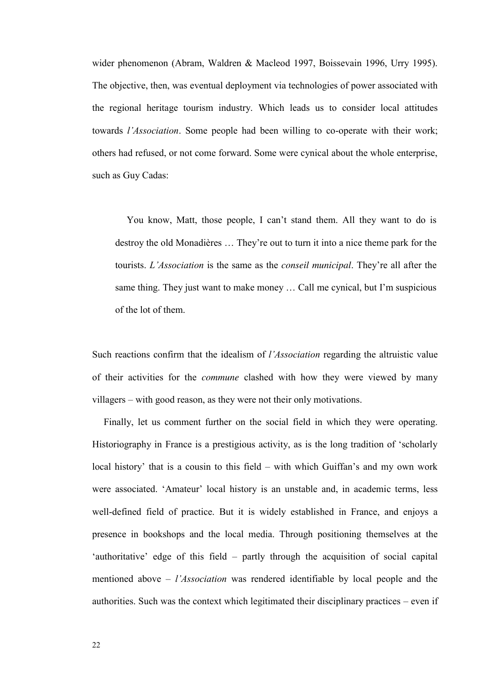wider phenomenon (Abram, Waldren & Macleod 1997, Boissevain 1996, Urry 1995). The objective, then, was eventual deployment via technologies of power associated with the regional heritage tourism industry. Which leads us to consider local attitudes towards *l'Association*. Some people had been willing to co-operate with their work; others had refused, or not come forward. Some were cynical about the whole enterprise, such as Guy Cadas:

You know, Matt, those people, I can't stand them. All they want to do is destroy the old Monadières … They're out to turn it into a nice theme park for the tourists. *L'Association* is the same as the *conseil municipal*. They're all after the same thing. They just want to make money … Call me cynical, but I'm suspicious of the lot of them.

Such reactions confirm that the idealism of *l'Association* regarding the altruistic value of their activities for the *commune* clashed with how they were viewed by many villagers – with good reason, as they were not their only motivations.

 Finally, let us comment further on the social field in which they were operating. Historiography in France is a prestigious activity, as is the long tradition of 'scholarly local history' that is a cousin to this field – with which Guiffan's and my own work were associated. 'Amateur' local history is an unstable and, in academic terms, less well-defined field of practice. But it is widely established in France, and enjoys a presence in bookshops and the local media. Through positioning themselves at the 'authoritative' edge of this field – partly through the acquisition of social capital mentioned above – *l'Association* was rendered identifiable by local people and the authorities. Such was the context which legitimated their disciplinary practices – even if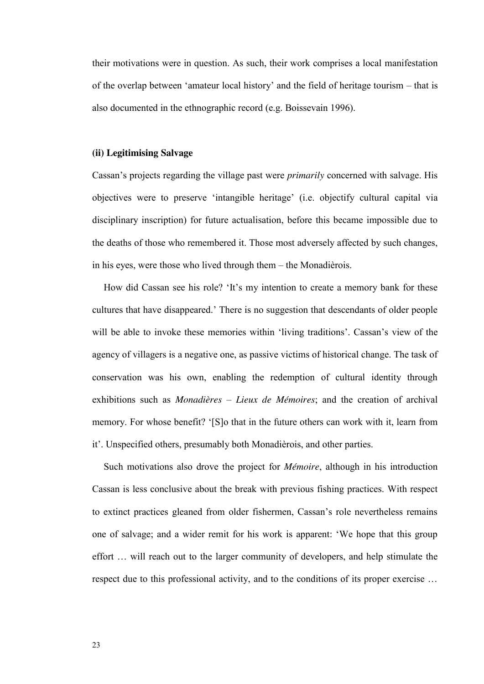their motivations were in question. As such, their work comprises a local manifestation of the overlap between 'amateur local history' and the field of heritage tourism – that is also documented in the ethnographic record (e.g. Boissevain 1996).

#### **(ii) Legitimising Salvage**

Cassan's projects regarding the village past were *primarily* concerned with salvage. His objectives were to preserve 'intangible heritage' (i.e. objectify cultural capital via disciplinary inscription) for future actualisation, before this became impossible due to the deaths of those who remembered it. Those most adversely affected by such changes, in his eyes, were those who lived through them – the Monadièrois.

 How did Cassan see his role? 'It's my intention to create a memory bank for these cultures that have disappeared.' There is no suggestion that descendants of older people will be able to invoke these memories within 'living traditions'. Cassan's view of the agency of villagers is a negative one, as passive victims of historical change. The task of conservation was his own, enabling the redemption of cultural identity through exhibitions such as *Monadières – Lieux de Mémoires*; and the creation of archival memory. For whose benefit? '[S]o that in the future others can work with it, learn from it'. Unspecified others, presumably both Monadièrois, and other parties.

 Such motivations also drove the project for *Mémoire*, although in his introduction Cassan is less conclusive about the break with previous fishing practices. With respect to extinct practices gleaned from older fishermen, Cassan's role nevertheless remains one of salvage; and a wider remit for his work is apparent: 'We hope that this group effort … will reach out to the larger community of developers, and help stimulate the respect due to this professional activity, and to the conditions of its proper exercise …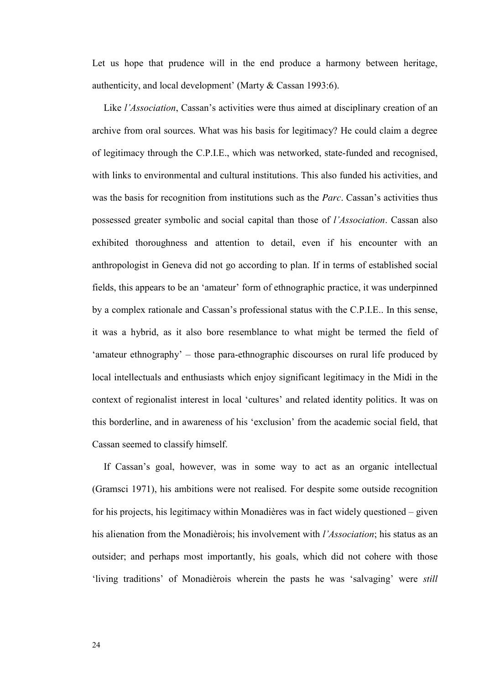Let us hope that prudence will in the end produce a harmony between heritage, authenticity, and local development' (Marty & Cassan 1993:6).

Like *l'Association*, Cassan's activities were thus aimed at disciplinary creation of an archive from oral sources. What was his basis for legitimacy? He could claim a degree of legitimacy through the C.P.I.E., which was networked, state-funded and recognised, with links to environmental and cultural institutions. This also funded his activities, and was the basis for recognition from institutions such as the *Parc*. Cassan's activities thus possessed greater symbolic and social capital than those of *l'Association*. Cassan also exhibited thoroughness and attention to detail, even if his encounter with an anthropologist in Geneva did not go according to plan. If in terms of established social fields, this appears to be an 'amateur' form of ethnographic practice, it was underpinned by a complex rationale and Cassan's professional status with the C.P.I.E.. In this sense, it was a hybrid, as it also bore resemblance to what might be termed the field of 'amateur ethnography' – those para-ethnographic discourses on rural life produced by local intellectuals and enthusiasts which enjoy significant legitimacy in the Midi in the context of regionalist interest in local 'cultures' and related identity politics. It was on this borderline, and in awareness of his 'exclusion' from the academic social field, that Cassan seemed to classify himself.

If Cassan's goal, however, was in some way to act as an organic intellectual (Gramsci 1971), his ambitions were not realised. For despite some outside recognition for his projects, his legitimacy within Monadières was in fact widely questioned – given his alienation from the Monadièrois; his involvement with *l'Association*; his status as an outsider; and perhaps most importantly, his goals, which did not cohere with those 'living traditions' of Monadièrois wherein the pasts he was 'salvaging' were *still*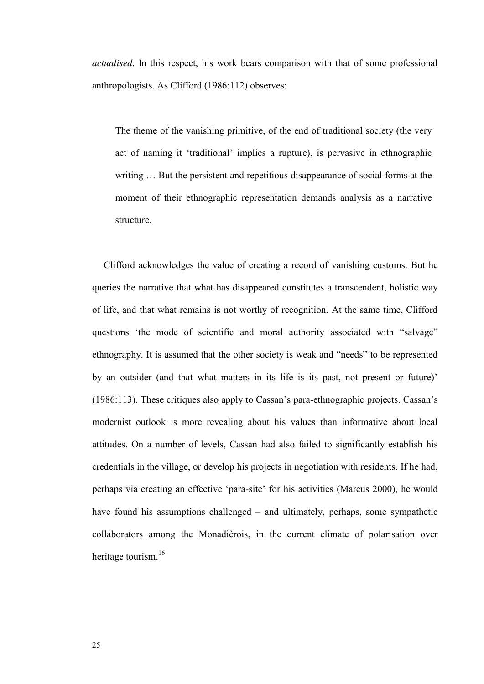*actualised*. In this respect, his work bears comparison with that of some professional anthropologists. As Clifford (1986:112) observes:

The theme of the vanishing primitive, of the end of traditional society (the very act of naming it 'traditional' implies a rupture), is pervasive in ethnographic writing … But the persistent and repetitious disappearance of social forms at the moment of their ethnographic representation demands analysis as a narrative structure.

 Clifford acknowledges the value of creating a record of vanishing customs. But he queries the narrative that what has disappeared constitutes a transcendent, holistic way of life, and that what remains is not worthy of recognition. At the same time, Clifford questions 'the mode of scientific and moral authority associated with "salvage" ethnography. It is assumed that the other society is weak and "needs" to be represented by an outsider (and that what matters in its life is its past, not present or future)' (1986:113). These critiques also apply to Cassan's para-ethnographic projects. Cassan's modernist outlook is more revealing about his values than informative about local attitudes. On a number of levels, Cassan had also failed to significantly establish his credentials in the village, or develop his projects in negotiation with residents. If he had, perhaps via creating an effective 'para-site' for his activities (Marcus 2000), he would have found his assumptions challenged – and ultimately, perhaps, some sympathetic collaborators among the Monadièrois, in the current climate of polarisation over heritage tourism.<sup>16</sup>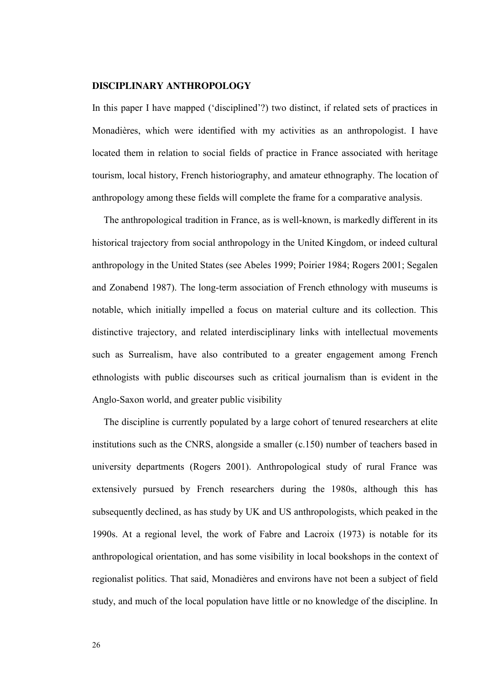#### **DISCIPLINARY ANTHROPOLOGY**

In this paper I have mapped ('disciplined'?) two distinct, if related sets of practices in Monadières, which were identified with my activities as an anthropologist. I have located them in relation to social fields of practice in France associated with heritage tourism, local history, French historiography, and amateur ethnography. The location of anthropology among these fields will complete the frame for a comparative analysis.

 The anthropological tradition in France, as is well-known, is markedly different in its historical trajectory from social anthropology in the United Kingdom, or indeed cultural anthropology in the United States (see Abeles 1999; Poirier 1984; Rogers 2001; Segalen and Zonabend 1987). The long-term association of French ethnology with museums is notable, which initially impelled a focus on material culture and its collection. This distinctive trajectory, and related interdisciplinary links with intellectual movements such as Surrealism, have also contributed to a greater engagement among French ethnologists with public discourses such as critical journalism than is evident in the Anglo-Saxon world, and greater public visibility

 The discipline is currently populated by a large cohort of tenured researchers at elite institutions such as the CNRS, alongside a smaller (c.150) number of teachers based in university departments (Rogers 2001). Anthropological study of rural France was extensively pursued by French researchers during the 1980s, although this has subsequently declined, as has study by UK and US anthropologists, which peaked in the 1990s. At a regional level, the work of Fabre and Lacroix (1973) is notable for its anthropological orientation, and has some visibility in local bookshops in the context of regionalist politics. That said, Monadières and environs have not been a subject of field study, and much of the local population have little or no knowledge of the discipline. In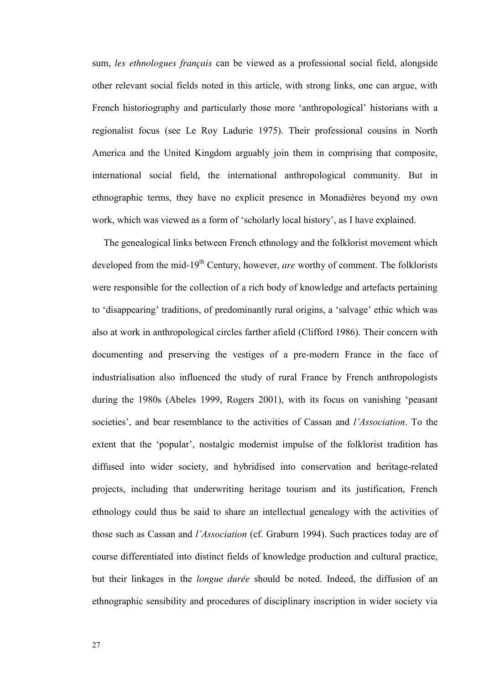sum, *les ethnologues français* can be viewed as a professional social field, alongside other relevant social fields noted in this article, with strong links, one can argue, with French historiography and particularly those more 'anthropological' historians with a regionalist focus (see Le Roy Ladurie 1975). Their professional cousins in North America and the United Kingdom arguably join them in comprising that composite, international social field, the international anthropological community. But in ethnographic terms, they have no explicit presence in Monadières beyond my own work, which was viewed as a form of 'scholarly local history', as I have explained.

 The genealogical links between French ethnology and the folklorist movement which developed from the mid-19<sup>th</sup> Century, however, *are* worthy of comment. The folklorists were responsible for the collection of a rich body of knowledge and artefacts pertaining to 'disappearing' traditions, of predominantly rural origins, a 'salvage' ethic which was also at work in anthropological circles farther afield (Clifford 1986). Their concern with documenting and preserving the vestiges of a pre-modern France in the face of industrialisation also influenced the study of rural France by French anthropologists during the 1980s (Abeles 1999, Rogers 2001), with its focus on vanishing 'peasant societies', and bear resemblance to the activities of Cassan and *l'Association*. To the extent that the 'popular', nostalgic modernist impulse of the folklorist tradition has diffused into wider society, and hybridised into conservation and heritage-related projects, including that underwriting heritage tourism and its justification, French ethnology could thus be said to share an intellectual genealogy with the activities of those such as Cassan and *l'Association* (cf. Graburn 1994). Such practices today are of course differentiated into distinct fields of knowledge production and cultural practice, but their linkages in the *longue durée* should be noted. Indeed, the diffusion of an ethnographic sensibility and procedures of disciplinary inscription in wider society via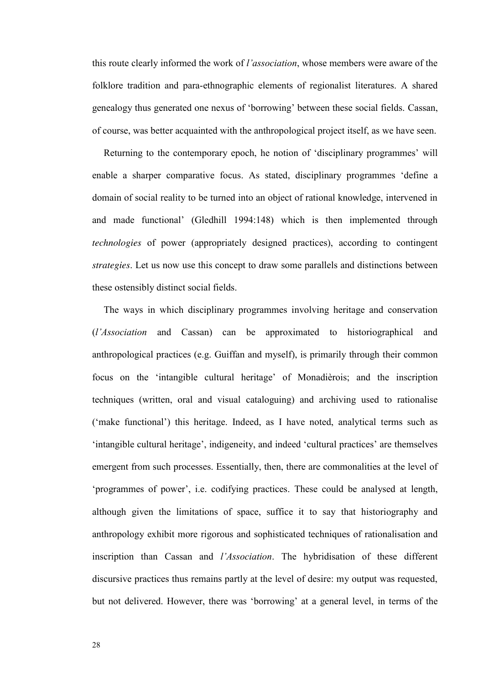this route clearly informed the work of *l'association*, whose members were aware of the folklore tradition and para-ethnographic elements of regionalist literatures. A shared genealogy thus generated one nexus of 'borrowing' between these social fields. Cassan, of course, was better acquainted with the anthropological project itself, as we have seen.

 Returning to the contemporary epoch, he notion of 'disciplinary programmes' will enable a sharper comparative focus. As stated, disciplinary programmes 'define a domain of social reality to be turned into an object of rational knowledge, intervened in and made functional' (Gledhill 1994:148) which is then implemented through *technologies* of power (appropriately designed practices), according to contingent *strategies*. Let us now use this concept to draw some parallels and distinctions between these ostensibly distinct social fields.

 The ways in which disciplinary programmes involving heritage and conservation (*l'Association* and Cassan) can be approximated to historiographical and anthropological practices (e.g. Guiffan and myself), is primarily through their common focus on the 'intangible cultural heritage' of Monadièrois; and the inscription techniques (written, oral and visual cataloguing) and archiving used to rationalise ('make functional') this heritage. Indeed, as I have noted, analytical terms such as 'intangible cultural heritage', indigeneity, and indeed 'cultural practices' are themselves emergent from such processes. Essentially, then, there are commonalities at the level of 'programmes of power', i.e. codifying practices. These could be analysed at length, although given the limitations of space, suffice it to say that historiography and anthropology exhibit more rigorous and sophisticated techniques of rationalisation and inscription than Cassan and *l'Association*. The hybridisation of these different discursive practices thus remains partly at the level of desire: my output was requested, but not delivered. However, there was 'borrowing' at a general level, in terms of the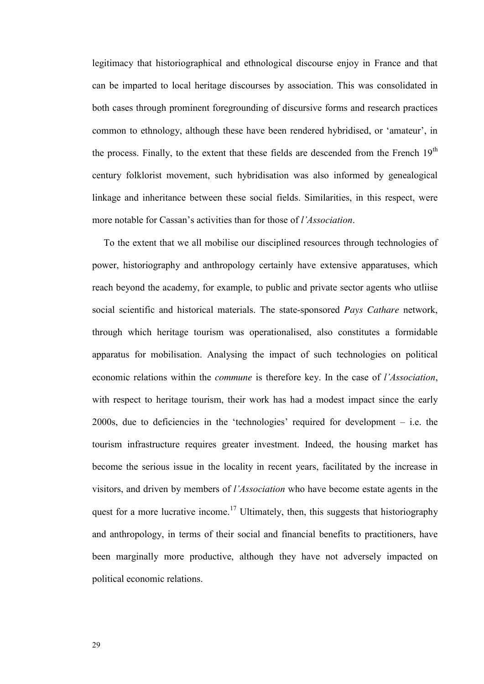legitimacy that historiographical and ethnological discourse enjoy in France and that can be imparted to local heritage discourses by association. This was consolidated in both cases through prominent foregrounding of discursive forms and research practices common to ethnology, although these have been rendered hybridised, or 'amateur', in the process. Finally, to the extent that these fields are descended from the French  $19<sup>th</sup>$ century folklorist movement, such hybridisation was also informed by genealogical linkage and inheritance between these social fields. Similarities, in this respect, were more notable for Cassan's activities than for those of *l'Association*.

To the extent that we all mobilise our disciplined resources through technologies of power, historiography and anthropology certainly have extensive apparatuses, which reach beyond the academy, for example, to public and private sector agents who utliise social scientific and historical materials. The state-sponsored *Pays Cathare* network, through which heritage tourism was operationalised, also constitutes a formidable apparatus for mobilisation. Analysing the impact of such technologies on political economic relations within the *commune* is therefore key. In the case of *l'Association*, with respect to heritage tourism, their work has had a modest impact since the early 2000s, due to deficiencies in the 'technologies' required for development – i.e. the tourism infrastructure requires greater investment. Indeed, the housing market has become the serious issue in the locality in recent years, facilitated by the increase in visitors, and driven by members of *l'Association* who have become estate agents in the quest for a more lucrative income.<sup>17</sup> Ultimately, then, this suggests that historiography and anthropology, in terms of their social and financial benefits to practitioners, have been marginally more productive, although they have not adversely impacted on political economic relations.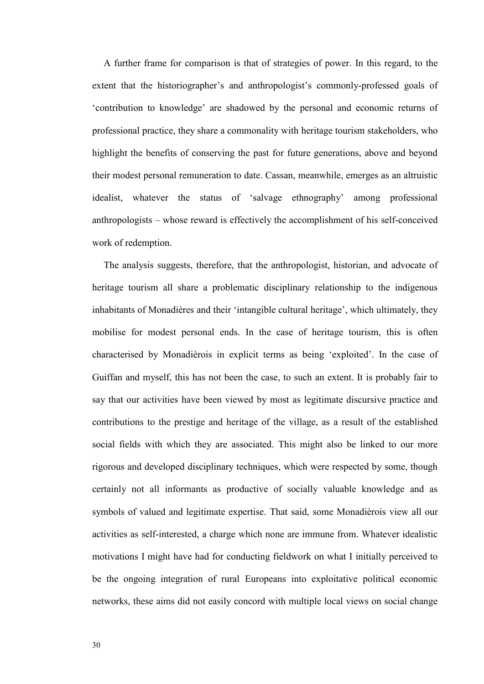A further frame for comparison is that of strategies of power. In this regard, to the extent that the historiographer's and anthropologist's commonly-professed goals of 'contribution to knowledge' are shadowed by the personal and economic returns of professional practice, they share a commonality with heritage tourism stakeholders, who highlight the benefits of conserving the past for future generations, above and beyond their modest personal remuneration to date. Cassan, meanwhile, emerges as an altruistic idealist, whatever the status of 'salvage ethnography' among professional anthropologists – whose reward is effectively the accomplishment of his self-conceived work of redemption.

 The analysis suggests, therefore, that the anthropologist, historian, and advocate of heritage tourism all share a problematic disciplinary relationship to the indigenous inhabitants of Monadières and their 'intangible cultural heritage', which ultimately, they mobilise for modest personal ends. In the case of heritage tourism, this is often characterised by Monadièrois in explicit terms as being 'exploited'. In the case of Guiffan and myself, this has not been the case, to such an extent. It is probably fair to say that our activities have been viewed by most as legitimate discursive practice and contributions to the prestige and heritage of the village, as a result of the established social fields with which they are associated. This might also be linked to our more rigorous and developed disciplinary techniques, which were respected by some, though certainly not all informants as productive of socially valuable knowledge and as symbols of valued and legitimate expertise. That said, some Monadièrois view all our activities as self-interested, a charge which none are immune from. Whatever idealistic motivations I might have had for conducting fieldwork on what I initially perceived to be the ongoing integration of rural Europeans into exploitative political economic networks, these aims did not easily concord with multiple local views on social change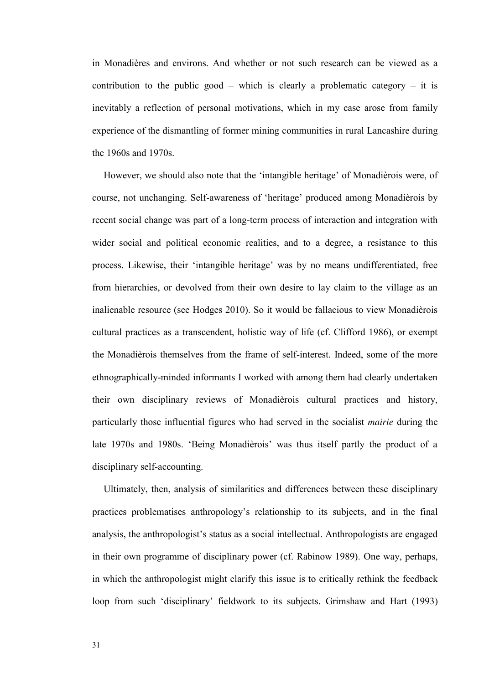in Monadières and environs. And whether or not such research can be viewed as a contribution to the public good – which is clearly a problematic category – it is inevitably a reflection of personal motivations, which in my case arose from family experience of the dismantling of former mining communities in rural Lancashire during the 1960s and 1970s.

 However, we should also note that the 'intangible heritage' of Monadièrois were, of course, not unchanging. Self-awareness of 'heritage' produced among Monadièrois by recent social change was part of a long-term process of interaction and integration with wider social and political economic realities, and to a degree, a resistance to this process. Likewise, their 'intangible heritage' was by no means undifferentiated, free from hierarchies, or devolved from their own desire to lay claim to the village as an inalienable resource (see Hodges 2010). So it would be fallacious to view Monadièrois cultural practices as a transcendent, holistic way of life (cf. Clifford 1986), or exempt the Monadièrois themselves from the frame of self-interest. Indeed, some of the more ethnographically-minded informants I worked with among them had clearly undertaken their own disciplinary reviews of Monadièrois cultural practices and history, particularly those influential figures who had served in the socialist *mairie* during the late 1970s and 1980s. 'Being Monadièrois' was thus itself partly the product of a disciplinary self-accounting.

 Ultimately, then, analysis of similarities and differences between these disciplinary practices problematises anthropology's relationship to its subjects, and in the final analysis, the anthropologist's status as a social intellectual. Anthropologists are engaged in their own programme of disciplinary power (cf. Rabinow 1989). One way, perhaps, in which the anthropologist might clarify this issue is to critically rethink the feedback loop from such 'disciplinary' fieldwork to its subjects. Grimshaw and Hart (1993)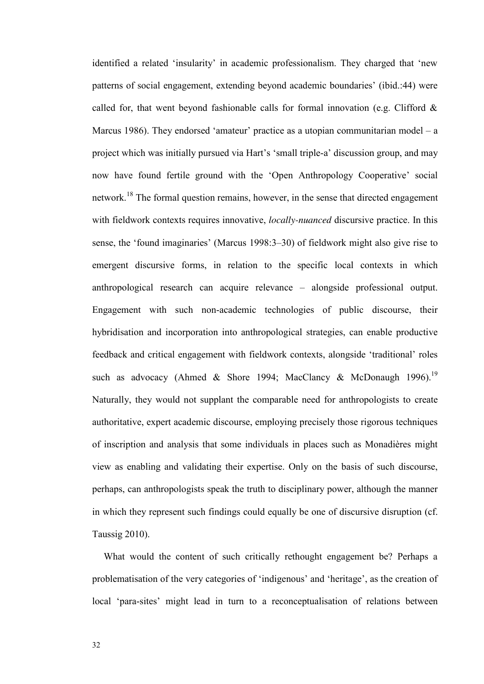identified a related 'insularity' in academic professionalism. They charged that 'new patterns of social engagement, extending beyond academic boundaries' (ibid.:44) were called for, that went beyond fashionable calls for formal innovation (e.g. Clifford  $\&$ Marcus 1986). They endorsed 'amateur' practice as a utopian communitarian model – a project which was initially pursued via Hart's 'small triple-a' discussion group, and may now have found fertile ground with the 'Open Anthropology Cooperative' social network.<sup>18</sup> The formal question remains, however, in the sense that directed engagement with fieldwork contexts requires innovative, *locally-nuanced* discursive practice. In this sense, the 'found imaginaries' (Marcus 1998:3–30) of fieldwork might also give rise to emergent discursive forms, in relation to the specific local contexts in which anthropological research can acquire relevance – alongside professional output. Engagement with such non-academic technologies of public discourse, their hybridisation and incorporation into anthropological strategies, can enable productive feedback and critical engagement with fieldwork contexts, alongside 'traditional' roles such as advocacy (Ahmed & Shore 1994; MacClancy & McDonaugh 1996).<sup>19</sup> Naturally, they would not supplant the comparable need for anthropologists to create authoritative, expert academic discourse, employing precisely those rigorous techniques of inscription and analysis that some individuals in places such as Monadières might view as enabling and validating their expertise. Only on the basis of such discourse, perhaps, can anthropologists speak the truth to disciplinary power, although the manner in which they represent such findings could equally be one of discursive disruption (cf. Taussig 2010).

 What would the content of such critically rethought engagement be? Perhaps a problematisation of the very categories of 'indigenous' and 'heritage', as the creation of local 'para-sites' might lead in turn to a reconceptualisation of relations between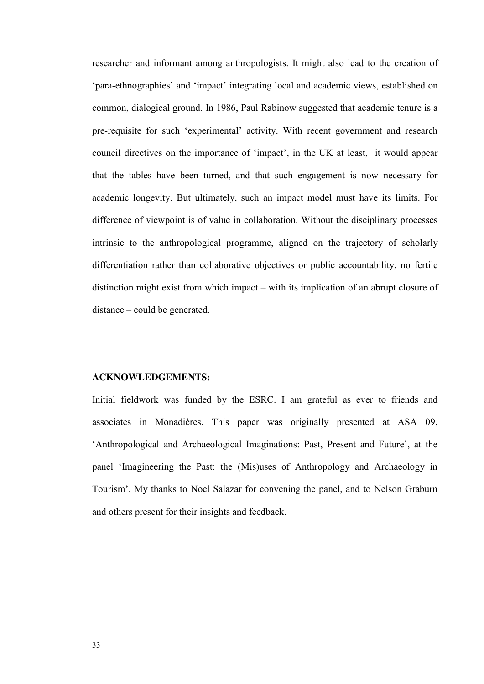researcher and informant among anthropologists. It might also lead to the creation of 'para-ethnographies' and 'impact' integrating local and academic views, established on common, dialogical ground. In 1986, Paul Rabinow suggested that academic tenure is a pre-requisite for such 'experimental' activity. With recent government and research council directives on the importance of 'impact', in the UK at least, it would appear that the tables have been turned, and that such engagement is now necessary for academic longevity. But ultimately, such an impact model must have its limits. For difference of viewpoint is of value in collaboration. Without the disciplinary processes intrinsic to the anthropological programme, aligned on the trajectory of scholarly differentiation rather than collaborative objectives or public accountability, no fertile distinction might exist from which impact – with its implication of an abrupt closure of distance – could be generated.

#### **ACKNOWLEDGEMENTS:**

Initial fieldwork was funded by the ESRC. I am grateful as ever to friends and associates in Monadières. This paper was originally presented at ASA 09, 'Anthropological and Archaeological Imaginations: Past, Present and Future', at the panel 'Imagineering the Past: the (Mis)uses of Anthropology and Archaeology in Tourism'. My thanks to Noel Salazar for convening the panel, and to Nelson Graburn and others present for their insights and feedback.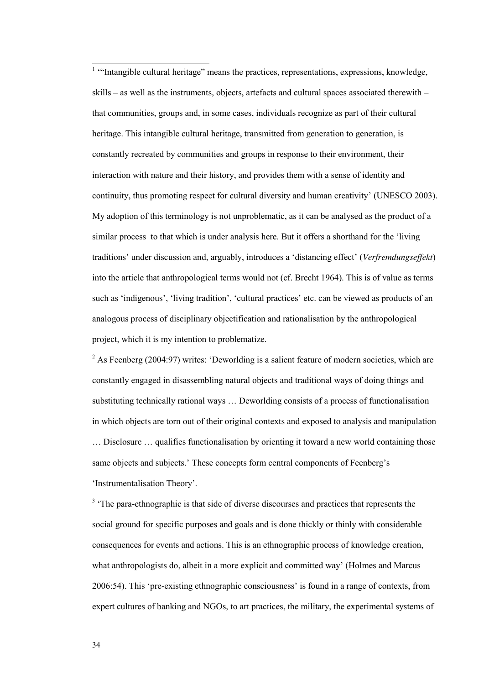<sup>1</sup> "Intangible cultural heritage" means the practices, representations, expressions, knowledge, skills – as well as the instruments, objects, artefacts and cultural spaces associated therewith – that communities, groups and, in some cases, individuals recognize as part of their cultural heritage. This intangible cultural heritage, transmitted from generation to generation, is constantly recreated by communities and groups in response to their environment, their interaction with nature and their history, and provides them with a sense of identity and continuity, thus promoting respect for cultural diversity and human creativity' (UNESCO 2003). My adoption of this terminology is not unproblematic, as it can be analysed as the product of a similar process to that which is under analysis here. But it offers a shorthand for the 'living traditions' under discussion and, arguably, introduces a 'distancing effect' (*Verfremdungseffekt*) into the article that anthropological terms would not (cf. Brecht 1964). This is of value as terms such as 'indigenous', 'living tradition', 'cultural practices' etc. can be viewed as products of an analogous process of disciplinary objectification and rationalisation by the anthropological project, which it is my intention to problematize.

 $2$  As Feenberg (2004:97) writes: 'Deworlding is a salient feature of modern societies, which are constantly engaged in disassembling natural objects and traditional ways of doing things and substituting technically rational ways … Deworlding consists of a process of functionalisation in which objects are torn out of their original contexts and exposed to analysis and manipulation … Disclosure … qualifies functionalisation by orienting it toward a new world containing those same objects and subjects.' These concepts form central components of Feenberg's 'Instrumentalisation Theory'.

<sup>3</sup> 'The para-ethnographic is that side of diverse discourses and practices that represents the social ground for specific purposes and goals and is done thickly or thinly with considerable consequences for events and actions. This is an ethnographic process of knowledge creation, what anthropologists do, albeit in a more explicit and committed way' (Holmes and Marcus 2006:54). This 'pre-existing ethnographic consciousness' is found in a range of contexts, from expert cultures of banking and NGOs, to art practices, the military, the experimental systems of

 $\overline{a}$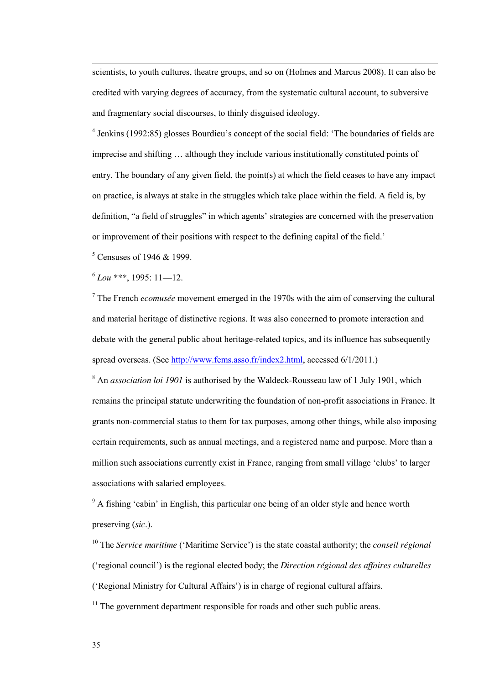scientists, to youth cultures, theatre groups, and so on (Holmes and Marcus 2008). It can also be credited with varying degrees of accuracy, from the systematic cultural account, to subversive and fragmentary social discourses, to thinly disguised ideology.

<sup>4</sup> Jenkins (1992:85) glosses Bourdieu's concept of the social field: 'The boundaries of fields are imprecise and shifting … although they include various institutionally constituted points of entry. The boundary of any given field, the point(s) at which the field ceases to have any impact on practice, is always at stake in the struggles which take place within the field. A field is, by definition, "a field of struggles" in which agents' strategies are concerned with the preservation or improvement of their positions with respect to the defining capital of the field.'

<sup>5</sup> Censuses of 1946 & 1999.

6 *Lou \*\*\**, 1995: 11—12.

 $\overline{a}$ 

7 The French *ecomusée* movement emerged in the 1970s with the aim of conserving the cultural and material heritage of distinctive regions. It was also concerned to promote interaction and debate with the general public about heritage-related topics, and its influence has subsequently spread overseas. (See [http://www.fems.asso.fr/index2.html,](http://www.fems.asso.fr/index2.html) accessed 6/1/2011.)

<sup>8</sup> An *association loi 1901* is authorised by the Waldeck-Rousseau law of 1 July 1901, which remains the principal statute underwriting the foundation of non-profit associations in France. It grants non-commercial status to them for tax purposes, among other things, while also imposing certain requirements, such as annual meetings, and a registered name and purpose. More than a million such associations currently exist in France, ranging from small village 'clubs' to larger associations with salaried employees.

<sup>9</sup> A fishing 'cabin' in English, this particular one being of an older style and hence worth preserving (*sic*.).

<sup>10</sup> The *Service maritime* ('Maritime Service') is the state coastal authority; the *conseil régional* ('regional council') is the regional elected body; the *Direction régional des affaires culturelles* ('Regional Ministry for Cultural Affairs') is in charge of regional cultural affairs.

 $11$  The government department responsible for roads and other such public areas.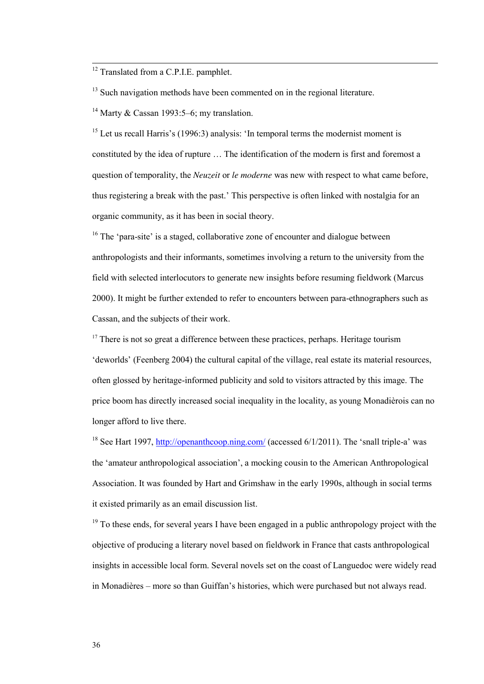<sup>12</sup> Translated from a C.P.I.E. pamphlet.

 $\overline{a}$ 

 $13$  Such navigation methods have been commented on in the regional literature.

<sup>14</sup> Marty & Cassan 1993:5–6; my translation.

<sup>15</sup> Let us recall Harris's (1996:3) analysis: 'In temporal terms the modernist moment is constituted by the idea of rupture … The identification of the modern is first and foremost a question of temporality, the *Neuzeit* or *le moderne* was new with respect to what came before, thus registering a break with the past.' This perspective is often linked with nostalgia for an organic community, as it has been in social theory.

<sup>16</sup> The 'para-site' is a staged, collaborative zone of encounter and dialogue between anthropologists and their informants, sometimes involving a return to the university from the field with selected interlocutors to generate new insights before resuming fieldwork (Marcus 2000). It might be further extended to refer to encounters between para-ethnographers such as Cassan, and the subjects of their work.

<sup>17</sup> There is not so great a difference between these practices, perhaps. Heritage tourism 'deworlds' (Feenberg 2004) the cultural capital of the village, real estate its material resources, often glossed by heritage-informed publicity and sold to visitors attracted by this image. The price boom has directly increased social inequality in the locality, as young Monadièrois can no longer afford to live there.

<sup>18</sup> See Hart 1997,<http://openanthcoop.ning.com/> (accessed  $6/1/2011$ ). The 'snall triple-a' was the 'amateur anthropological association', a mocking cousin to the American Anthropological Association. It was founded by Hart and Grimshaw in the early 1990s, although in social terms it existed primarily as an email discussion list.

 $19$  To these ends, for several years I have been engaged in a public anthropology project with the objective of producing a literary novel based on fieldwork in France that casts anthropological insights in accessible local form. Several novels set on the coast of Languedoc were widely read in Monadières – more so than Guiffan's histories, which were purchased but not always read.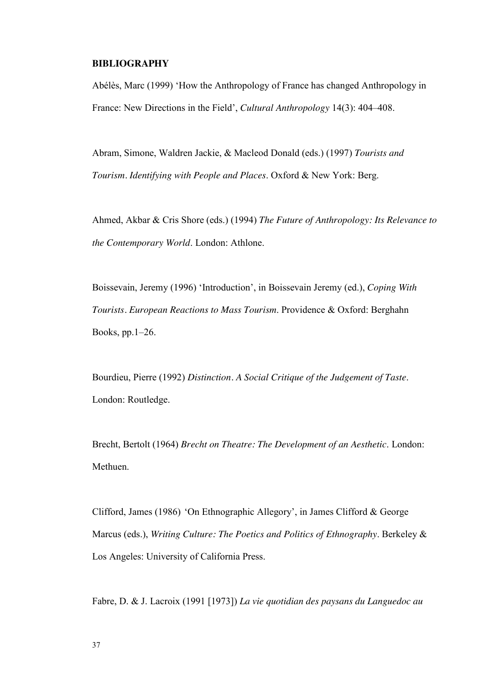#### **BIBLIOGRAPHY**

Abélès, Marc (1999) 'How the Anthropology of France has changed Anthropology in France: New Directions in the Field', *Cultural Anthropology* 14(3): 404–408.

Abram, Simone, Waldren Jackie, & Macleod Donald (eds.) (1997) *Tourists and Tourism. Identifying with People and Places*. Oxford & New York: Berg.

Ahmed, Akbar & Cris Shore (eds.) (1994) *The Future of Anthropology: Its Relevance to the Contemporary World*. London: Athlone.

Boissevain, Jeremy (1996) 'Introduction', in Boissevain Jeremy (ed.), *Coping With Tourists. European Reactions to Mass Tourism*. Providence & Oxford: Berghahn Books, pp.1–26.

Bourdieu, Pierre (1992) *Distinction. A Social Critique of the Judgement of Taste*. London: Routledge.

Brecht, Bertolt (1964) *Brecht on Theatre: The Development of an Aesthetic*. London: Methuen.

Clifford, James (1986) 'On Ethnographic Allegory', in James Clifford & George Marcus (eds.), *Writing Culture: The Poetics and Politics of Ethnography*. Berkeley & Los Angeles: University of California Press.

Fabre, D. & J. Lacroix (1991 [1973]) *La vie quotidian des paysans du Languedoc au*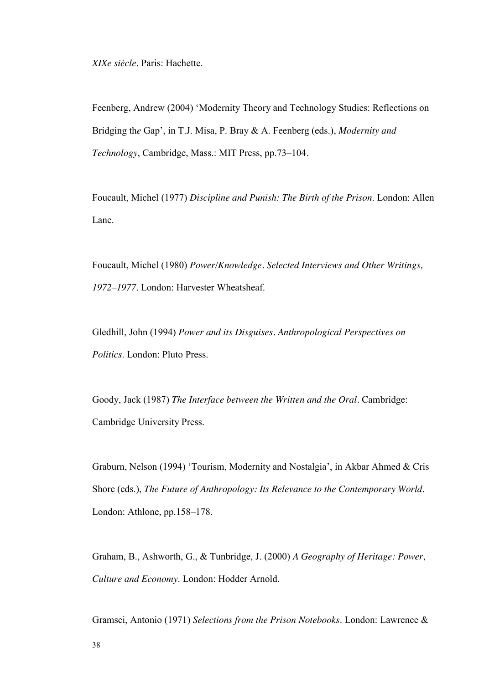*XIXe siècle*. Paris: Hachette.

Feenberg, Andrew (2004) 'Modernity Theory and Technology Studies: Reflections on Bridging th*e* Gap', in T.J. Misa, P. Bray & A. Feenberg (eds.), *Modernity and Technology*, Cambridge, Mass.: MIT Press, pp.73–104*.* 

Foucault, Michel (1977) *Discipline and Punish: The Birth of the Prison*. London: Allen Lane.

Foucault, Michel (1980) *Power/Knowledge. Selected Interviews and Other Writings, 1972–1977*. London: Harvester Wheatsheaf.

Gledhill, John (1994) *Power and its Disguises. Anthropological Perspectives on Politics*. London: Pluto Press.

Goody, Jack (1987) *The Interface between the Written and the Oral.* Cambridge: Cambridge University Press.

Graburn, Nelson (1994) 'Tourism, Modernity and Nostalgia', in Akbar Ahmed & Cris Shore (eds.), *The Future of Anthropology: Its Relevance to the Contemporary World*. London: Athlone, pp.158–178.

Graham, B., Ashworth, G., & Tunbridge, J. (2000) *A Geography of Heritage: Power, Culture and Economy*. London: Hodder Arnold.

Gramsci, Antonio (1971) *Selections from the Prison Notebooks*. London: Lawrence &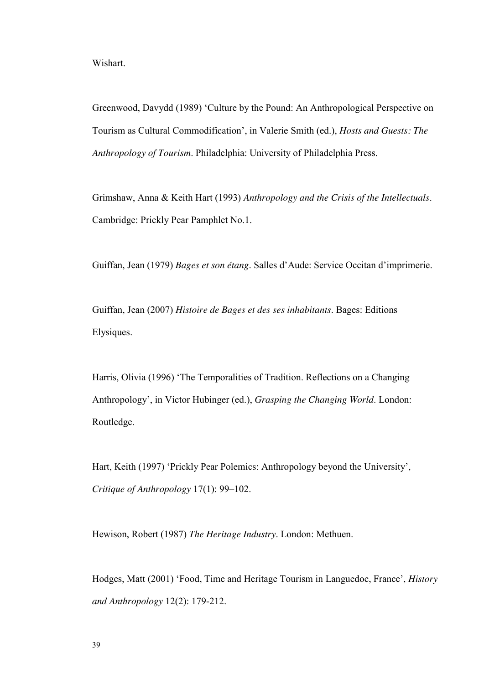Wishart.

Greenwood, Davydd (1989) 'Culture by the Pound: An Anthropological Perspective on Tourism as Cultural Commodification', in Valerie Smith (ed.), *Hosts and Guests: The Anthropology of Tourism*. Philadelphia: University of Philadelphia Press.

Grimshaw, Anna & Keith Hart (1993) *Anthropology and the Crisis of the Intellectuals*. Cambridge: Prickly Pear Pamphlet No.1.

Guiffan, Jean (1979) *Bages et son étang*. Salles d'Aude: Service Occitan d'imprimerie.

Guiffan, Jean (2007) *Histoire de Bages et des ses inhabitants*. Bages: Editions Elysiques.

Harris, Olivia (1996) 'The Temporalities of Tradition. Reflections on a Changing Anthropology', in Victor Hubinger (ed.), *Grasping the Changing World*. London: Routledge.

Hart, Keith (1997) 'Prickly Pear Polemics: Anthropology beyond the University', *Critique of Anthropology* 17(1): 99–102.

Hewison, Robert (1987) *The Heritage Industry*. London: Methuen.

Hodges, Matt (2001) 'Food, Time and Heritage Tourism in Languedoc, France', *History and Anthropology* 12(2): 179-212.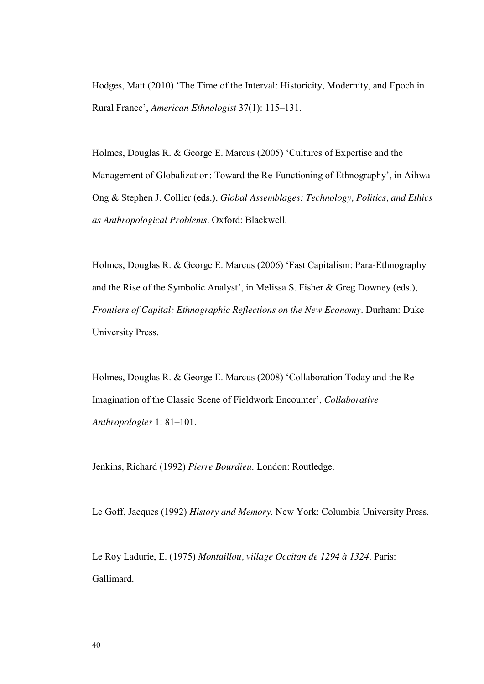Hodges, Matt (2010) 'The Time of the Interval: Historicity, Modernity, and Epoch in Rural France', *American Ethnologist* 37(1): 115–131.

Holmes, Douglas R. & George E. Marcus (2005) 'Cultures of Expertise and the Management of Globalization: Toward the Re-Functioning of Ethnography', in Aihwa Ong & Stephen J. Collier (eds.), *Global Assemblages: Technology, Politics, and Ethics as Anthropological Problems*. Oxford: Blackwell.

Holmes, Douglas R. & George E. Marcus (2006) 'Fast Capitalism: Para-Ethnography and the Rise of the Symbolic Analyst', in Melissa S. Fisher & Greg Downey (eds.), *Frontiers of Capital: Ethnographic Reflections on the New Economy*. Durham: Duke University Press.

Holmes, Douglas R. & George E. Marcus (2008) 'Collaboration Today and the Re-Imagination of the Classic Scene of Fieldwork Encounter', *Collaborative Anthropologies* 1: 81–101.

Jenkins, Richard (1992) *Pierre Bourdieu*. London: Routledge.

Le Goff, Jacques (1992) *History and Memory*. New York: Columbia University Press.

Le Roy Ladurie, E. (1975) *Montaillou, village Occitan de 1294 à 1324*. Paris: Gallimard.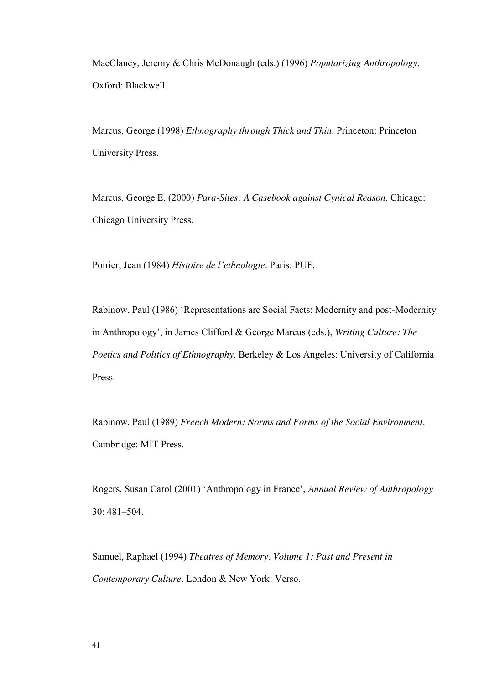MacClancy, Jeremy & Chris McDonaugh (eds.) (1996) *Popularizing Anthropology*. Oxford: Blackwell.

Marcus, George (1998) *Ethnography through Thick and Thin*. Princeton: Princeton University Press.

Marcus, George E. (2000) *Para-Sites: A Casebook against Cynical Reason*. Chicago: Chicago University Press.

Poirier, Jean (1984) *Histoire de l'ethnologie*. Paris: PUF.

Rabinow, Paul (1986) 'Representations are Social Facts: Modernity and post-Modernity in Anthropology', in James Clifford & George Marcus (eds.), *Writing Culture: The Poetics and Politics of Ethnography*. Berkeley & Los Angeles: University of California Press.

Rabinow, Paul (1989) *French Modern: Norms and Forms of the Social Environment*. Cambridge: MIT Press.

Rogers, Susan Carol (2001) 'Anthropology in France', *Annual Review of Anthropology*  $30 \cdot 481 - 504$ 

Samuel, Raphael (1994) *Theatres of Memory. Volume 1: Past and Present in Contemporary Culture*. London & New York: Verso.